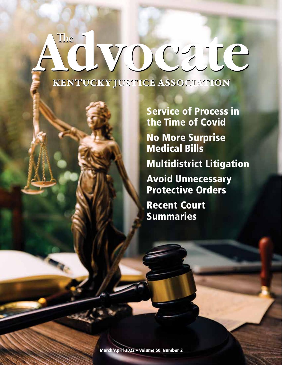# KENTUCKY JUSTICE ASSOCIATION The i you cate

Service of Process in the Time of Covid No More Surprise Medical Bills Multidistrict Litigation Avoid Unnecessary Protective Orders Recent Court Summaries

March/April 2022 • Volume 50, Number 2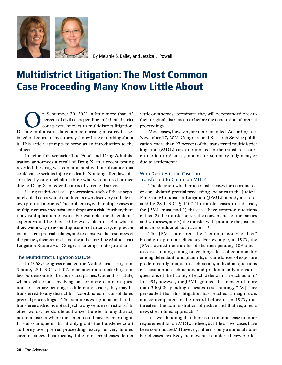

By Melanie S. Bailey and Jessica L. Powell

## Multidistrict Litigation: The Most Common Case Proceeding Many Know Little About

The September 30, 2021, a little more than 62<br>percent of civil cases pending in federal district<br>courts were subject to multidistrict litigation. percent of civil cases pending in federal district courts were subject to multidistrict litigation. Despite multidistrict litigation comprising most civil cases in federal court, many attorneys know little or nothing about it. This article attempts to serve as an introduction to the subject.

Imagine this scenario: The Food and Drug Administration announces a recall of Drug X after recent testing revealed the drug was contaminated with a substance that could cause serious injury or death. Not long after, lawsuits are filed by or on behalf of those who were injured or died due to Drug X in federal courts of varying districts.

Using traditional case progression, each of these separately filed cases would conduct its own discovery and file its own pre-trial motions. The problem is, with multiple cases in multiple courts, inconsistent rulings are a risk. Further, there is a vast duplication of work. For example, the defendants' experts would be deposed by every plaintiff. But what if there was a way to avoid duplication of discovery, to prevent inconsistent pretrial rulings, and to conserve the resources of the parties, their counsel, and the judiciary? The Multidistrict Litigation Statute was Congress' attempt to do just that.

#### The Multidistrict Litigation Statute

In 1968, Congress enacted the Multidistrict Litigation Statute, 28 U.S.C. § 1407, in an attempt to make litigation less burdensome to the courts and parties. Under this statute, when civil actions involving one or more common questions of fact are pending in different districts, they may be transferred to any district for "coordinated or consolidated pretrial proceedings."1 This statute is exceptional in that the transferee district is not subject to any venue restrictions.<sup>2</sup> In other words, the statute authorizes transfer to any district, not to a district where the action could have been brought. It is also unique in that it only grants the transferee court authority over pretrial proceedings except in very limited circumstances. That means, if the transferred cases do not

settle or otherwise terminate, they will be remanded back to their original districts on or before the conclusion of pretrial proceedings.3

Most cases, however, are not remanded. According to a November 17, 2021 Congressional Research Service publication, more than 97 percent of the transferred multidistrict litigation (MDL) cases terminated in the transferee court on motion to dismiss, motion for summary judgment, or due to settlement.4

#### Who Decides if the Cases are Transferred to Create an MDL?

The decision whether to transfer cases for coordinated or consolidated pretrial proceedings belongs to the Judicial Panel on Multidistrict Litigation (JPML), a body also created by 28 U.S.C. § 1407. To transfer cases to a district, the JPML must find 1) the cases have common questions of fact, 2) the transfer serves the convenience of the parties and witnesses, and 3) the transfer will "promote the just and efficient conduct of such actions."5

The JPML interprets the "common issues of fact" broadly to promote efficiency. For example, in 1977, the JPML denied the transfer of the then pending 103 asbestos cases, noting among other things, lack of commonality among defendants and plaintiffs, circumstances of exposure predominantly unique to each action, individual questions of causation in each action, and predominantly individual questions of the liability of each defendant in each action.<sup>6</sup> In 1991, however, the JPML granted the transfer of more than 300,000 pending asbestos cases stating, "[W]e are persuaded that this litigation has reached a magnitude, not contemplated in the record before us in 1977, that threatens the administration of justice and that requires a new, streamlined approach."7

It is worth noting that there is no minimal case number requirement for an MDL. Indeed, as little as two cases have been consolidated.<sup>8</sup> However, if there is only a minimal number of cases involved, the movant "is under a heavy burden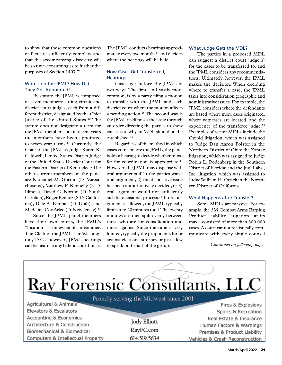to show that those common questions of fact are sufficiently complex, and that the accompanying discovery will be so time-consuming as to further the purposes of Section 1407."9

#### Who Is on the JPML? How Did They Get Appointed?

By statute, the JPML is composed of seven members: sitting circuit and district court judges, each from a different district, designated by the Chief Justice of the United States.<sup>10</sup> The statute does not designate a term for the JPML members, but in recent years the members have been appointed to seven-year terms.<sup>11</sup> Currently, the Chair of the JPML is Judge Karen K. Caldwell, United States District Judge of the United States District Court for the Eastern District of Kentucky.12 The other current members on the panel are Nathaniel M. Gorton (D. Massachusetts), Matthew F. Kennelly (N.D. Illinois), David C. Norton (D. South Carolina), Roger Benitez (S.D. California), Dale A. Kimball (D. Utah), and Madeline Cox Arleo (D. New Jersey).<sup>13</sup>

Since the JPML panel members have their own courts, the JPML's "location" is somewhat of a misnomer. The Clerk of the JPML is in Washington, D.C.; however, JPML hearings can be heard at any federal courthouse.

The JPML conducts hearings approximately every two months<sup>14</sup> and decides where the hearings will be held.

#### How Cases Get Transferred, **Hearings**

Cases get before the JPML in two ways. The first, and vastly more common, is by a party filing a motion to transfer with the JPML and each district court where the motion affects a pending action.<sup>15</sup> The second way is the JPML itself raises the issue through an order directing the parties to show cause as to why an MDL should not be established.16

Regardless of the method in which cases come before the JPML, the panel holds a hearing to decide whether transfer for coordination is appropriate.<sup>17</sup> However, the JPML may dispense with oral arguments if 1) the parties waive oral argument, 2) the dispositive issue has been authoritatively decided, or 3) oral argument would not sufficiently aid the decisional process.18 If oral argument is allowed, the JPML typically limits it to 20 minutes total. The twenty minutes are then spilt evenly between those who are for consolidation and those against. Since the time is very limited, typically the proponents for or against elect one attorney or just a few to speak on behalf of the group.

#### What Judge Gets the MDL?

The parties in a proposed MDL can suggest a district court judge(s) for the cases to be transferred to, and the JPML considers any recommendations. Ultimately, however, the JPML makes the decision. When deciding where to transfer a case, the JPML takes into consideration geographic and administrative issues. For example, the JPML considers where the defendants are based, where more cases originated, where witnesses are located, and the experience of the transferee judge.<sup>19</sup> Examples of recent MDLs include the Opioid litigation, which was assigned to Judge Dan Aaron Polster in the Northern District of Ohio; the Zantac litigation, which was assigned to Judge Robin L. Rodenberg in the Southern District of Florida; and the Juul Labs., Inc. litigation, which was assigned to Judge William H. Orrick in the Northern District of California.

#### What Happens after Transfer?

Some MDLs are massive. For example, the 3M Combat Arms Earplug Product Liability Litigation—at its max—consisted of more than 300,000 cases. A court cannot realistically communicate with every single counsel

*Continued on following page*

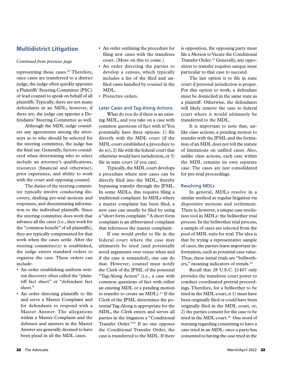#### Multidistrict Litigation

#### *Continued from previous page*

representing those cases.<sup>20</sup> Therefore, once cases are transferred to a district judge, the judge often quickly appoints a Plaintiffs' Steering Committee (PSC) or lead counsel to speak on behalf of all plaintiffs. Typically, there are not many defendants in an MDL; however, if there are, the judge can appoint a Defendants' Steering Committee as well.

Although the MDL judge considers any agreements among the attorneys as to who should be selected for the steering committee, the judge has the final say. Generally, factors considered when determining who to select include an attorney's qualifications, resources (financial and otherwise), prior experience, and ability to work with the court and opposing counsel.

The duties of the steering committee typically involve conducting discovery, drafting pre-trial motions and responses, and disseminating information to the individual plaintiffs. Since the steering committee does work that advance all the cases (i.e., they work for the "common benefit" of all plaintiffs), they are typically compensated for that work when the cases settle. After the steering committee(s) is established, the judge enters standard orders to organize the case. These orders can include:

- An order establishing uniform written discovery often called the "plaintiff fact sheet" or "defendant fact sheet."
- An order directing plaintiffs to file and serve a Master Complaint and for defendants to respond with a Master Answer. The allegations within a Master Complaint and the defenses and answers in the Master Answer are generally deemed to have been plead in all the MDL cases.
- An order outlining the procedure for filing new cases with the transferee court. (More on this to come.)
- An order directing the parties to develop a census, which typically includes a list of the filed and unfiled cases handled by counsel in the MDL.
- Protective orders.

#### Later Cases and Tag-Along Actions

What do you do if there is an existing MDL, and you take on a case with common questions of fact with it? You potentially have three options: 1) file directly with the MDL court (if the MDL court established a procedure to do so), 2) file with the federal court that otherwise would have jurisdiction, or 3) file in state court (if you can).

Typically, the MDL court develops a procedure where new cases can be directly filed into the MDL, thereby bypassing transfer through the JPML. In some MDLs, this requires filing a traditional complaint. In MDLs where a master complaint has been filed, a new case can usually be filed by using a "short form complaint." A short form complaint is an abbreviated complaint that references the master complaint.

If one would prefer to file in the federal court where the case may ultimately be tried (and potentially avoid arguments over venue when and if the case is remanded), one can do that. However, counsel must notify the Clerk of the JPML of the potential "Tag-Along Action" (i.e., a case with common questions of fact with either an existing MDL or a pending motion to transfer to create an MDL).<sup>21</sup> If the Clerk of the JPML determines the potential Tag-Along is appropriate for the MDL, the Clerk enters and serves all parties in the litigation a "Conditional Transfer Order."22 If no one opposes the Conditional Transfer Order, the case is transferred to the MDL. If there

is opposition, the opposing party must file a Motion to Vacate the Conditional Transfer Order.<sup>23</sup> Generally, any opposition to transfer requires unique issue particular to that case to succeed.

The last option is to file in state court if personal jurisdiction is proper. For this option to work, a defendant must be domiciled in the same state as a plaintiff. Otherwise, the defendants will likely remove the case to federal court where it would ultimately be transferred to the MDL.

It is important to note that, unlike class actions, a pending motion to transfer with the JPML and the formation of an MDL does not toll the statute of limitations on unfiled cases. Also, unlike class actions, each case within the MDL remains its own separate case. The cases are just consolidated for pre-trial proceedings.

#### Resolving MDLs

In general, MDLs resolve in a similar method as regular litigation via dispositive motions and settlement. There is, however, a unique case resolution tool in MDLs: the bellwether trial process. In the bellwether trial process, a sample of cases are selected from the pool of MDL suits for trial. The idea is that by trying a representative sample of cases, the parties learn important information, such as potential case value. Thus, these initial trials are "bellwethers," meaning indicators of trends.<sup>24</sup>

Recall that 28 U.S.C. §1407 only provides the transferee court power to conduct coordinated pretrial proceedings. Therefore, for a bellwether to be tried in the MDL court, it 1) must have been originally filed or could have been originally filed in the MDL court, or, 2) the parties consent for the case to be tried in the MDL court.<sup>25</sup> One word of warning regarding consenting to have a case tried in an MDL: once a party has consented to having the case tried in the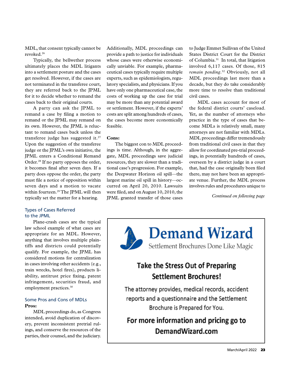MDL, that consent typically cannot be revoked.26

Typically, the bellwether process ultimately places the MDL litigants into a settlement posture and the cases get resolved. However, if the cases are not terminated in the transferee court, they are referred back to the JPML for it to decide whether to remand the cases back to their original courts.

A party can ask the JPML to remand a case by filing a motion to remand or the JPML may remand on its own. However, the JPML is reluctant to remand cases back unless the transferee judge has suggested it.<sup>27</sup> Upon the suggestion of the transferee judge or the JPML's own initiative, the JPML enters a Conditional Remand Order.<sup>28</sup> If no party opposes the order, it becomes final after seven days. If a party does oppose the order, the party must file a notice of opposition within seven days and a motion to vacate within fourteen.<sup>29</sup> The JPML will then typically set the matter for a hearing.

#### Types of Cases Referred to the JPML

Plane-crash cases are the typical law school example of what cases are appropriate for an MDL. However, anything that involves multiple plaintiffs and districts could potentially qualify. For example, the JPML has considered motions for centralization in cases involving other accidents (e.g., train wrecks, hotel fires), products liability, antitrust price fixing, patent infringement, securities fraud, and employment practices.<sup>30</sup>

#### Some Pros and Cons of MDLs **Pros:**

MDL proceedings do, as Congress intended, avoid duplication of discovery, prevent inconsistent pretrial rulings, and conserve the resources of the parties, their counsel, and the judiciary. Additionally, MDL proceedings can provide a path to justice for individuals whose cases were otherwise economically unviable. For example, pharmaceutical cases typically require multiple experts, such as epidemiologists, regulatory specialists, and physicians. If you have only one pharmaceutical case, the costs of working up the case for trial may be more than any potential award or settlement. However, if the experts' costs are split among hundreds of cases, the cases become more economically feasible.

#### **Cons:**

The biggest con to MDL proceedings is time. Although, in the aggregate, MDL proceedings save judicial resources, they are slower than a traditional case's progression. For example, the Deepwater Horizon oil spill—the largest marine oil spill in history—occurred on April 20, 2010. Lawsuits were filed, and on August 10, 2010, the JPML granted transfer of those cases to Judge Emmet Sullivan of the United States District Court for the District of Columbia.31 In total, that litigation involved 6,117 cases. Of those, 815 *remain pending*. 32 Obviously, not all MDL proceedings last more than a decade, but they do take considerably more time to resolve than traditional civil cases.

MDL cases account for most of the federal district courts' caseload. Yet, as the number of attorneys who practice in the type of cases that become MDLs is relatively small, many attorneys are not familiar with MDLs. MDL proceedings differ tremendously from traditional civil cases in that they allow for coordinated pre-trial proceedings, in potentially hundreds of cases, overseen by a district judge in a court that, had the case originally been filed there, may not have been an appropriate venue. Further, the MDL process involves rules and procedures unique to

*Continued on following page*



## Take the Stress Out of Preparing **Settlement Brochures!**

The attorney provides, medical records, accident reports and a questionnaire and the Settlement Brochure is Prepared for You.

### For more information and pricing go to DemandWizard.com